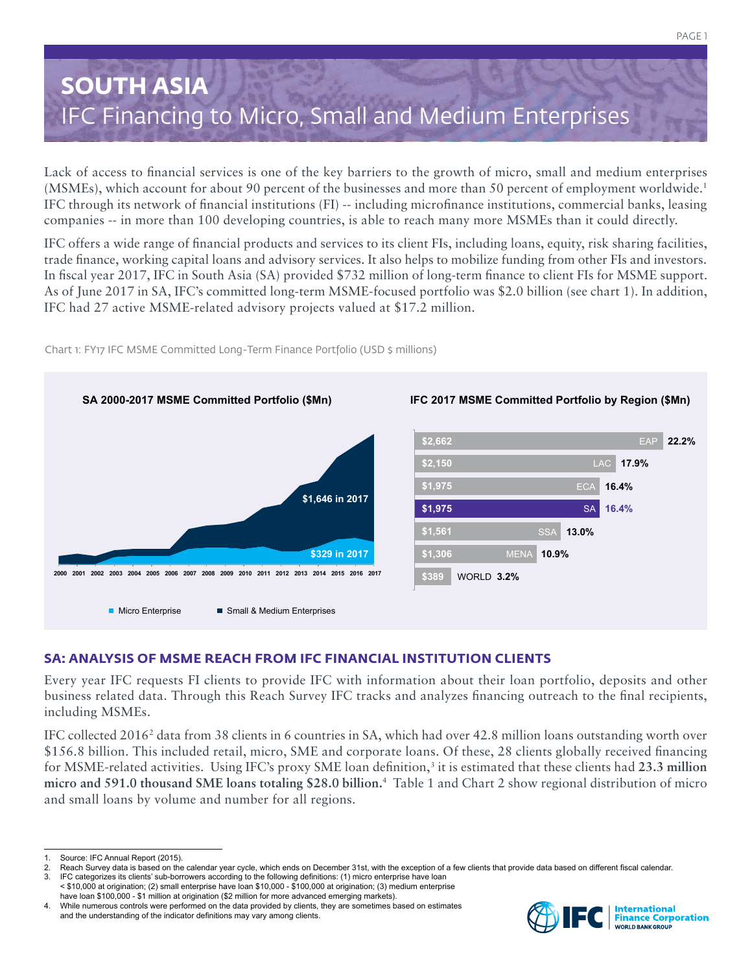# **SOUTH ASIA** IFC Financing to Micro, Small and Medium Enterprises

Lack of access to financial services is one of the key barriers to the growth of micro, small and medium enterprises (MSMEs), which account for about 90 percent of the businesses and more than 50 percent of employment worldwide.1 IFC through its network of financial institutions (FI) -- including microfinance institutions, commercial banks, leasing companies -- in more than 100 developing countries, is able to reach many more MSMEs than it could directly.

IFC offers a wide range of financial products and services to its client FIs, including loans, equity, risk sharing facilities, trade finance, working capital loans and advisory services. It also helps to mobilize funding from other FIs and investors. In fiscal year 2017, IFC in South Asia (SA) provided \$732 million of long-term finance to client FIs for MSME support. As of June 2017 in SA, IFC's committed long-term MSME-focused portfolio was \$2.0 billion (see chart 1). In addition, IFC had 27 active MSME-related advisory projects valued at \$17.2 million.



Chart 1: FY17 IFC MSME Committed Long-Term Finance Portfolio (USD \$ millions)

# **SA: ANALYSIS OF MSME REACH FROM IFC FINANCIAL INSTITUTION CLIENTS**

Every year IFC requests FI clients to provide IFC with information about their loan portfolio, deposits and other business related data. Through this Reach Survey IFC tracks and analyzes financing outreach to the final recipients, including MSMEs.

IFC collected 2016<sup>2</sup> data from 38 clients in 6 countries in SA, which had over 42.8 million loans outstanding worth over \$156.8 billion. This included retail, micro, SME and corporate loans. Of these, 28 clients globally received financing for MSME-related activities. Using IFC's proxy SME loan definition,<sup>3</sup> it is estimated that these clients had 23.3 million **micro and 591.0 thousand SME loans totaling \$28.0 billion.**<sup>4</sup> Table 1 and Chart 2 show regional distribution of micro and small loans by volume and number for all regions.



<sup>1.</sup> Source: IFC Annual Report (2015).

Reach Survey data is based on the calendar year cycle, which ends on December 31st, with the exception of a few clients that provide data based on different fiscal calendar. IFC categorizes its clients' sub-borrowers according to the following definitions: (1) micro enterprise have loan

<sup>&</sup>lt; \$10,000 at origination; (2) small enterprise have loan \$10,000 - \$100,000 at origination; (3) medium enterprise have loan \$100,000 - \$1 million at origination (\$2 million for more advanced emerging markets).

<sup>4.</sup> While numerous controls were performed on the data provided by clients, they are sometimes based on estimates and the understanding of the indicator definitions may vary among clients.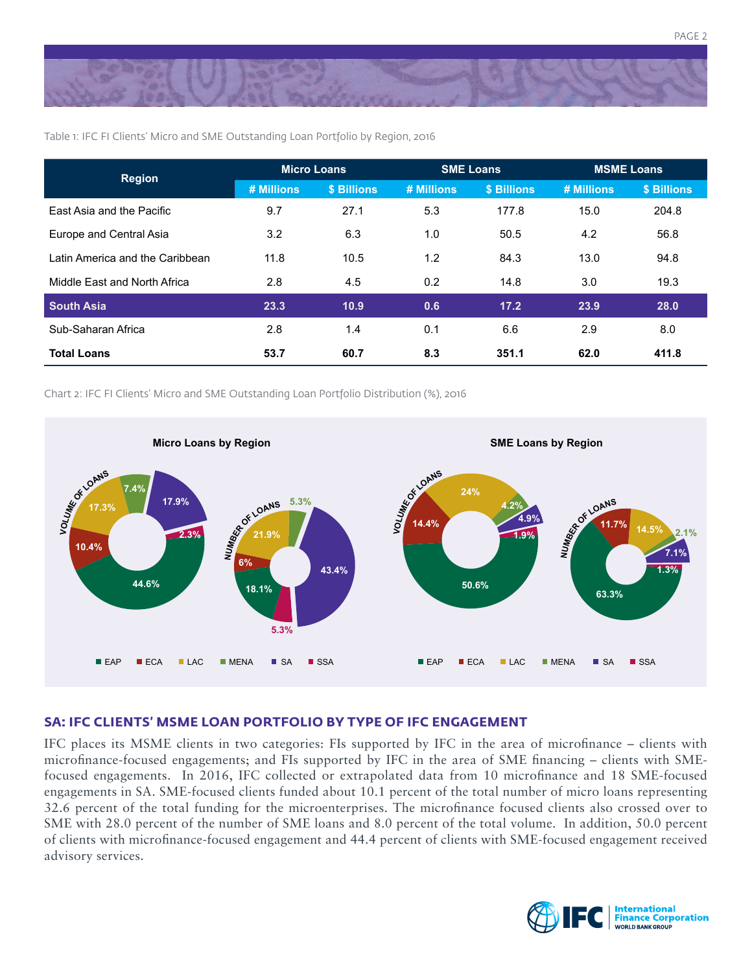

Table 1: IFC FI Clients' Micro and SME Outstanding Loan Portfolio by Region, 2016

| <b>Region</b>                   | <b>Micro Loans</b> |             | <b>SME Loans</b> |             | <b>MSME Loans</b> |             |
|---------------------------------|--------------------|-------------|------------------|-------------|-------------------|-------------|
|                                 | # Millions         | \$ Billions | # Millions       | \$ Billions | # Millions        | \$ Billions |
| East Asia and the Pacific       | 9.7                | 27.1        | 5.3              | 177.8       | 15.0              | 204.8       |
| Europe and Central Asia         | 3.2                | 6.3         | 1.0              | 50.5        | 4.2               | 56.8        |
| Latin America and the Caribbean | 11.8               | 10.5        | 1.2              | 84.3        | 13.0              | 94.8        |
| Middle East and North Africa    | 2.8                | 4.5         | 0.2              | 14.8        | 3.0               | 19.3        |
| <b>South Asia</b>               | 23.3               | 10.9        | 0.6              | 17.2        | 23.9              | 28.0        |
| Sub-Saharan Africa              | 2.8                | 1.4         | 0.1              | 6.6         | 2.9               | 8.0         |
| <b>Total Loans</b>              | 53.7               | 60.7        | 8.3              | 351.1       | 62.0              | 411.8       |

Chart 2: IFC FI Clients' Micro and SME Outstanding Loan Portfolio Distribution (%), 2016



#### **SA: IFC CLIENTS' MSME LOAN PORTFOLIO BY TYPE OF IFC ENGAGEMENT**

IFC places its MSME clients in two categories: FIs supported by IFC in the area of microfinance – clients with microfinance-focused engagements; and FIs supported by IFC in the area of SME financing – clients with SMEfocused engagements. In 2016, IFC collected or extrapolated data from 10 microfinance and 18 SME-focused engagements in SA. SME-focused clients funded about 10.1 percent of the total number of micro loans representing 32.6 percent of the total funding for the microenterprises. The microfinance focused clients also crossed over to SME with 28.0 percent of the number of SME loans and 8.0 percent of the total volume. In addition, 50.0 percent of clients with microfinance-focused engagement and 44.4 percent of clients with SME-focused engagement received advisory services.



PAGE 2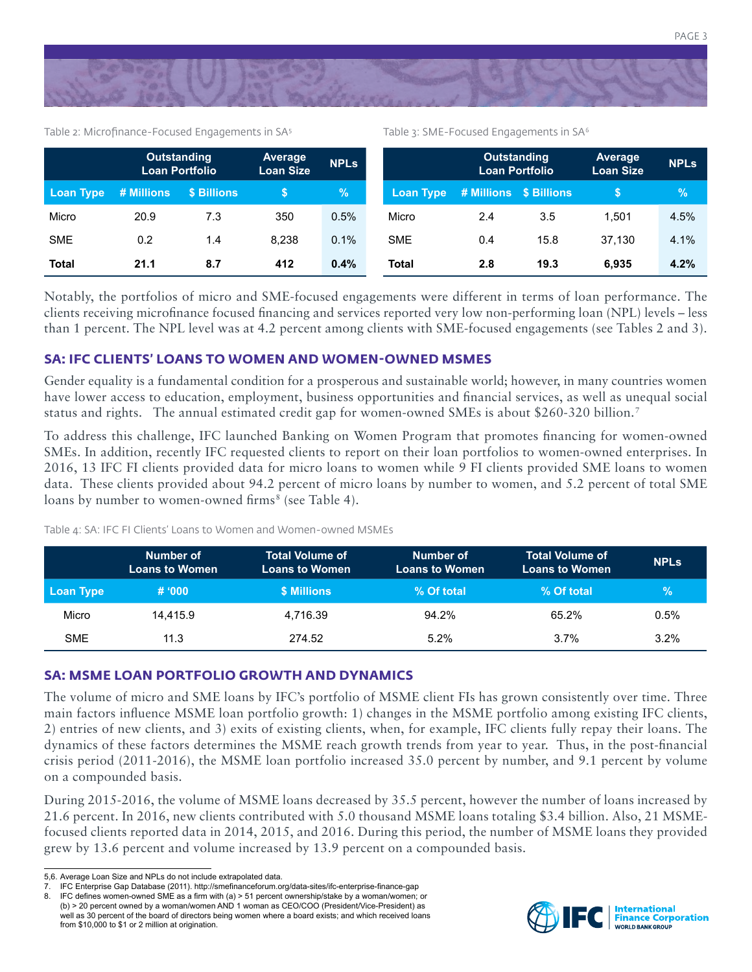

Table 2: Microfinance-Focused Engagements in SA<sup>5</sup>

Table 3: SME-Focused Engagements in SA<sup>6</sup>

|              | <b>Outstanding</b><br><b>Loan Portfolio</b> |             | Average<br><b>Loan Size</b> | <b>NPLs</b> |                  | <b>Outstanding</b><br><b>Loan Portfolio</b> |      | Average<br><b>Loan Size</b> | <b>NPLs</b> |
|--------------|---------------------------------------------|-------------|-----------------------------|-------------|------------------|---------------------------------------------|------|-----------------------------|-------------|
| Loan Type    | # Millions                                  | \$ Billions |                             | %           | <b>Loan Type</b> | # Millions \$ Billions                      |      |                             | $\%$        |
| Micro        | 20.9                                        | 7.3         | 350                         | 0.5%        | Micro            | 2.4                                         | 3.5  | 1.501                       | 4.5%        |
| <b>SME</b>   | 0.2                                         | 1.4         | 8.238                       | 0.1%        | <b>SME</b>       | 0.4                                         | 15.8 | 37.130                      | 4.1%        |
| <b>Total</b> | 21.1                                        | 8.7         | 412                         | 0.4%        | <b>Total</b>     | 2.8                                         | 19.3 | 6.935                       | 4.2%        |

Notably, the portfolios of micro and SME-focused engagements were different in terms of loan performance. The clients receiving microfinance focused financing and services reported very low non-performing loan (NPL) levels – less than 1 percent. The NPL level was at 4.2 percent among clients with SME-focused engagements (see Tables 2 and 3).

### **SA: IFC CLIENTS' LOANS TO WOMEN AND WOMEN-OWNED MSMES**

Gender equality is a fundamental condition for a prosperous and sustainable world; however, in many countries women have lower access to education, employment, business opportunities and financial services, as well as unequal social status and rights. The annual estimated credit gap for women-owned SMEs is about \$260-320 billion.7

To address this challenge, IFC launched Banking on Women Program that promotes financing for women-owned SMEs. In addition, recently IFC requested clients to report on their loan portfolios to women-owned enterprises. In 2016, 13 IFC FI clients provided data for micro loans to women while 9 FI clients provided SME loans to women data. These clients provided about 94.2 percent of micro loans by number to women, and 5.2 percent of total SME loans by number to women-owned firms<sup>8</sup> (see Table 4).

Table 4: SA: IFC FI Clients' Loans to Women and Women-owned MSMEs

|            | Number of<br><b>Loans to Women</b> | <b>Total Volume of</b><br><b>Loans to Women</b> | Number of<br><b>Loans to Women</b> | <b>Total Volume of</b><br><b>Loans to Women</b> | <b>NPLS</b> |
|------------|------------------------------------|-------------------------------------------------|------------------------------------|-------------------------------------------------|-------------|
| Loan Type  | # 000                              | <b>\$ Millions</b>                              | % Of total                         | % Of total                                      | $\%$        |
| Micro      | 14.415.9                           | 4.716.39                                        | 94.2%                              | 65.2%                                           | 0.5%        |
| <b>SME</b> | 11.3                               | 274.52                                          | 5.2%                               | 3.7%                                            | 3.2%        |

## **SA: MSME LOAN PORTFOLIO GROWTH AND DYNAMICS**

The volume of micro and SME loans by IFC's portfolio of MSME client FIs has grown consistently over time. Three main factors influence MSME loan portfolio growth: 1) changes in the MSME portfolio among existing IFC clients, 2) entries of new clients, and 3) exits of existing clients, when, for example, IFC clients fully repay their loans. The dynamics of these factors determines the MSME reach growth trends from year to year. Thus, in the post-financial crisis period (2011-2016), the MSME loan portfolio increased 35.0 percent by number, and 9.1 percent by volume on a compounded basis.

During 2015-2016, the volume of MSME loans decreased by 35.5 percent, however the number of loans increased by 21.6 percent. In 2016, new clients contributed with 5.0 thousand MSME loans totaling \$3.4 billion. Also, 21 MSMEfocused clients reported data in 2014, 2015, and 2016. During this period, the number of MSME loans they provided grew by 13.6 percent and volume increased by 13.9 percent on a compounded basis.



<sup>5,6.</sup> Average Loan Size and NPLs do not include extrapolated data.<br>7. IEC Enterprise Gan Database (2011) http://smefinanceforum.org

IFC Enterprise Gap Database (2011). http://smefinanceforum.org/data-sites/ifc-enterprise-finance-gap

<sup>8.</sup> IFC defines women-owned SME as a firm with (a) > 51 percent ownership/stake by a woman/women; or (b) > 20 percent owned by a woman/women AND 1 woman as CEO/COO (President/Vice-President) as well as 30 percent of the board of directors being women where a board exists; and which received loans from \$10,000 to \$1 or 2 million at origination.